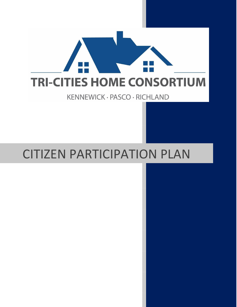

KENNEWICK · PASCO · RICHLAND

# CITIZEN PARTICIPATION PLAN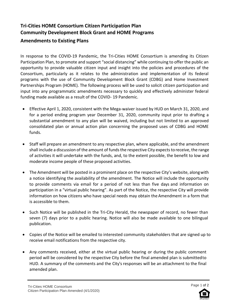# **Tri-Cities HOME Consortium Citizen Participation Plan Community Development Block Grant and HOME Programs**

# **Amendments to Existing Plans**

In response to the COVID-19 Pandemic, the Tri-Cities HOME Consortium is amending its Citizen Participation Plan, to promote and support "social distancing" while continuing to offer the public an opportunity to provide valuable citizen input and insight into the policies and procedures of the Consortium, particularly as it relates to the administration and implementation of its federal programs with the use of Community Development Block Grant (CDBG) and Home Investment Partnerships Program (HOME). The following process will be used to solicit citizen participation and input into any programmatic amendments necessary to quickly and effectively administer federal funding made available as a result of the COVID- 19 Pandemic.

- Effective April 1, 2020, consistent with the Mega-waiver issued by HUD on March 31, 2020, and for a period ending program year December 31, 2020, community input prior to drafting a substantial amendment to any plan will be waived, including but not limited to an approved consolidated plan or annual action plan concerning the proposed uses of CDBG and HOME funds.
- Staff will prepare an amendment to any respective plan, where applicable, and the amendment shall include a discussion of the amount of funds the respective City expects toreceive, the range of activities it will undertake with the funds, and, to the extent possible, the benefit to low and moderate income people of these proposed activities.
- The Amendment will be posted in a prominent place on the respective City's website, along with a notice identifying the availability of the amendment. The Notice will include the opportunity to provide comments via email for a period of not less than five days and information on participation in a "virtual public hearing". As part of the Notice, the respective City will provide information on how citizens who have special needs may obtain the Amendment in a form that is accessible to them.
- Such Notice will be published in the Tri-City Herald, the newspaper of record, no fewer than seven (7) days prior to a public hearing. Notice will also be made available to one bilingual publication.
- Copies of the Notice will be emailed to interested community stakeholders that are signed up to receive email notifications from the respective city.
- Any comments received, either at the virtual public hearing or during the public comment period will be considered by the respective City before the final amended plan is submittedto HUD. A summary of the comments and the City's responses will be an attachment to the final amended plan.

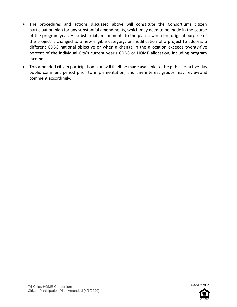- The procedures and actions discussed above will constitute the Consortiums citizen participation plan for any substantial amendments, which may need to be made in the course of the program year. A "substantial amendment" to the plan is when the original purpose of the project is changed to a new eligible category, or modification of a project to address a different CDBG national objective or when a change in the allocation exceeds twenty-five percent of the individual City's current year's CDBG or HOME allocation, including program income.
- This amended citizen participation plan will itself be made available to the public for a five-day public comment period prior to implementation, and any interest groups may review and comment accordingly.

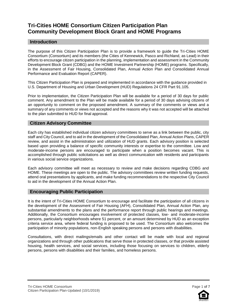# **Tri-Cities HOME Consortium Citizen Participation Plan Community Development Block Grant and HOME Programs**

# **Introduction**

The purpose of this Citizen Participation Plan is to provide a framework to guide the Tri-Cities HOME Consortium (Consortium) and its members (the Cities of Kennewick, Pasco and Richland, as Lead) in their efforts to encourage citizen participation in the planning, implementation and assessment in the Community Development Block Grant (CDBG) and the HOME Investment Partnership (HOME) programs. Specifically, in the Assessment of Fair Housing, Consolidated Plan, Annual Action Plan and Consolidated Annual Performance and Evaluation Report (CAPER).

This Citizen Participation Plan is prepared and implemented in accordance with the guidance provided in U.S. Department of Housing and Urban Development (HUD) Regulations 24 CFR Part 91.105.

Prior to implementation, the Citizen Participation Plan will be available for a period of 30 days for public comment. Any amendment to the Plan will be made available for a period of 30 days advising citizens of an opportunity to comment on the proposed amendment. A summary of the comments or views and a summary of any comments or views not accepted and the reasons why it was not accepted will be attached to the plan submitted to HUD for final approval.

#### **Citizen Advisory Committee**

Each city has established individual citizen advisory committees to serve as a link between the public, city staff and City Council, and to aid in the development of the Consolidated Plan, Annual Action Plans, CAPER review, and assist in the administration and utilization of HUD grants. Each advisory position is selected based upon providing a balance of specific community interests or expertise to the committee. Low and moderate-income persons are encouraged to participate when a position becomes vacant. This is accomplished through public solicitations as well as direct communication with residents and participants in various social service organizations.

Each advisory committee will meet as necessary to review and make decisions regarding CDBG and HOME. These meetings are open to the public. The advisory committees review written funding requests, attend oral presentations by applicants, and make funding recommendations to the respective City Council to aid in the development of the Annual Action Plan.

# **Encouraging Public Participation**

It is the intent of Tri-Cities HOME Consortium to encourage and facilitate the participation of all citizens in the development of the Assessment of Fair Housing (AFH), Consolidated Plan, Annual Action Plan, any substantial amendments to the plans and the performance report through public hearings and meetings. Additionally, the Consortium encourages involvement of protected classes, low- and moderate-income persons, particularly neighborhoods where 51 percent, or an amount determined by HUD as an exception criteria service area, where federal funding is proposed to be used. The Consortium also welcomes the participation of minority populations, non-English speaking persons and persons with disabilities.

Consultations, with direct mailings/emails and other contact will be made with local and regional organizations and through other publications that serve those in protected classes, or that provide assisted housing, health services, and social services, including those focusing on services to children, elderly persons, persons with disabilities and their families, and homeless persons.

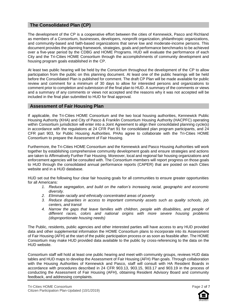# **The Consolidated Plan (CP)**

The development of the CP is a cooperative effort between the cities of Kennewick, Pasco and Richland as members of a Consortium, businesses, developers, nonprofit organization, philanthropic organizations, and community-based and faith-based organizations that serve low and moderate-income persons. This document provides the planning framework, strategies, goals and performance benchmarks to be achieved over a five-year period by the CDBG and HOME Programs. HUD will evaluate the performance of each City and the Tri-Cities HOME Consortium through the accomplishments of community development and housing program goals established in the CP.

At least two public hearing will be held by the Consortium throughout the development of the CP to allow participation from the public on this planning document. At least one of the public hearings will be held before the Consolidated Plan is published for comment. The draft CP Plan will be made available for public review and comment for a minimum of 30 days to allow for interested persons and organizations to comment prior to completion and submission of the final plan to HUD. A summary of the comments or views and a summary of any comments or views not accepted and the reasons why it was not accepted will be included in the final plan submitted to HUD for final approval.

# **Assessment of Fair Housing Plan**

If applicable, the Tri-Cities HOME Consortium and the two local housing authorities, Kennewick Public Housing Authority (KHA) and City of Pasco & Franklin Consortium Housing Authority (HACPFC) operating within Consortium jurisdiction will enter into a Joint Agreement to align their consolidated planning cycle(s) in accordance with the regulations at 24 CFR Part 91 for consolidated plan program participants, and 24 CFR part 903, for Public Housing Authorities. PHAs agree to collaborate with the Tri-Cities HOME Consortium to prepare the Assessment of Fair Housing.

Furthermore, the Tri-Cities HOME Consortium and the Kennewick and Pasco Housing Authorities will work together by establishing comprehensive community development goals and ensure strategies and actions are taken to Affirmatively Further Fair Housing. Moreover, local and regional fair housing organizations and enforcement agencies will be consulted with. The Consortium members will report progress on those goals to HUD through the consolidated annual performance reports (CAPER) that are posted on each Cities website and in a HUD database.

HUD set out the following four clear fair housing goals for all communities to ensure greater opportunities for all Americans:

- *1. Reduce segregation, and build on the nation's increasing racial, geographic and economic diversity.*
- *2. Eliminate racially and ethnically concentrated areas of poverty*
- *3. Reduce disparities in access to important community assets such as quality schools, job centers, and transit*
- *4. Narrow the gaps that leave families with children, people with disabilities, and people of different races, colors and national origins with more severe housing problems (disproportionate housing needs)*

The Public, residents, public agencies and other interested parties will have access to any HUD provided data and other supplemental information the HOME Consortium plans to incorporate into its Assessment of Fair Housing (AFH) at the start of the public participation process or as soon as feasible after. The HOME Consortium may make HUD provided data available to the public by cross-referencing to the data on the HUD website.

Consortium staff will hold at least one public hearing and meet with community groups, reviews HUD data tables and HUD maps to develop the Assessment of Fair Housing (AFH) Plan goals. Through collaboration with the Housing Authorities of Kennewick and Pasco, staff will consult with HA Resident Boards in accordance with procedures described in 24 CFR 903.13, 903.15, 903.17 and 903.19 in the process of conducting the Assessment of Fair Housing (AFH), obtaining Resident Advisory Board and community feedback, and addressing complaints.



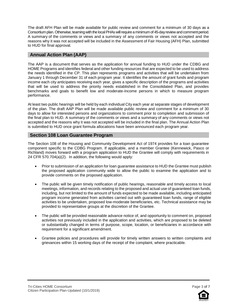The draft AFH Plan will be made available for public review and comment for a minimum of 30 days as a Consortium plan. Otherwise, teaming with the local PHAs will require a minimum of 45-dayreview and comment period. A summary of the comments or views and a summary of any comments or views not accepted and the reasons why it was not accepted will be included in the Assessment of Fair Housing (AFH) Plan, submitted to HUD for final approval.

# **Annual Action Plan (AAP)**

The AAP is a document that serves as the application for annual funding to HUD under the CDBG and HOME Programs and identifies federal and other funding resources that are expected to be used to address the needs identified in the CP. This plan represents programs and activities that will be undertaken from January 1 through December 31 of each program year. It identifies the amount of grant funds and program income each city anticipates receiving each year, gives a specific description of the programs and activities that will be used to address the priority needs established in the Consolidated Plan, and provides benchmarks and goals to benefit low and moderate-income persons in which to measure program performance.

At least two public hearings will be held by each individual City each year at separate stages of development of the plan. The draft AAP Plan will be made available public review and comment for a minimum of 30 days to allow for interested persons and organizations to comment prior to completion and submission of the final plan to HUD. A summary of the comments or views and a summary of any comments or views not accepted and the reasons why it was not accepted will be included in the final plan. The Annual Action Plan is submitted to HUD once grant formula allocations have been announced each program year.

# **Section 108 Loan Guarantee Program**

The Section 108 of the Housing and Community Development Act of 1974 provides for a loan guarantee component specific to the CDBG Program. If applicable, and a member Grantee (Kennewick, Pasco or Richland) moves forward with a program application to HUD the Grantee will comply with requirements in 24 CFR 570.704(a)(2). In addition, the following would apply:

- Prior to submission of an application for loan guarantee assistance to HUD the Grantee must publish the proposed application community wide to allow the public to examine the application and to provide comments on the proposed application.
- The public will be given timely notification of public hearings, reasonable and timely access to local meetings, information, and records relating to the proposed and actual use of guaranteed loan funds, including, but not limited to the amount of funds expected to be made available, including anticipated program income generated from activities carried out with guaranteed loan funds, range of eligible activities to be undertaken, proposed low-moderate beneficiaries, etc. Technical assistance may be provided to representative groups at the discretion of the Grantee.
- The public will be provided reasonable advance notice of, and opportunity to comment on, proposed activities not previously included in the application and activities, which are proposed to be deleted or substantially changed in terms of purpose, scope, location, or beneficiaries in accordance with requirement for a significant amendment.
- Grantee policies and procedures will provide for timely written answers to written complaints and grievances within 15 working days of the receipt of the complaint, where practicable.

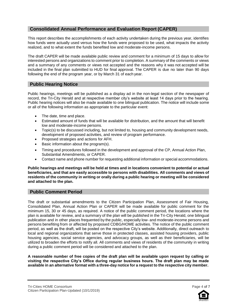# **Consolidated Annual Performance and Evaluation Report (CAPER)**

This report describes the accomplishments of each activity undertaken during the previous year, identifies how funds were actually used versus how the funds were proposed to be used, what impacts the activity realized, and to what extent the funds benefited low and moderate-income persons.

The draft CAPER will be made available public review and comment for a minimum of 15 days to allow for interested persons and organizations to comment prior to completion. A summary of the comments or views and a summary of any comments or views not accepted and the reasons why it was not accepted will be included in the final plan submitted to HUD for final approval. The CAPER is due no later than 90 days following the end of the program year, or by March 31 of each year.

# **Public Hearing Notice**

Public hearings, meetings will be published as a display ad in the non-legal section of the newspaper of record, the Tri-City Herald and at respective member city's website at least 14 days prior to the hearing. Public hearing notices will also be made available to one bilingual publication. The notice will include some or all of the following information as appropriate to the particular event:

- The date, time and place.
- Estimated amount of funds that will be available for distribution, and the amount that will benefit low and moderate-income persons.
- Topic(s) to be discussed including, but not limited to, housing and community development needs, development of proposed activities, and review of program performance.
- Proposed strategies and actions for AFH.
- Basic information about the program(s).
- Timing and procedures followed in the development and approval of the CP, Annual Action Plan, Substantial Amendments, or CAPER.
- Contact name and phone number for requesting additional information or special accommodations.

**Public hearings and meetings will be held at times and in locations convenient to potential or actual beneficiaries, and that are easily accessible to persons with disabilities. All comments and views of residents of the community in writing or orally during a public hearing or meeting will be considered and attached to the plan.**

# **Public Comment Period**

The draft or substantial amendments to the Citizen Participation Plan, Assessment of Fair Housing, Consolidated Plan, Annual Action Plan or CAPER will be made available for public comment for the minimum 15, 30 or 45 days, as required. A notice of the public comment period, the locations where the plan is available for review, and a summary of the plan will be published in the Tri-City Herald, one bilingual publication and in other places frequented by the public, especially low- and moderate-income persons and persons benefiting from or affected by proposed CDBG/HOME activities. The notice of the public comment period, as well as the draft, will be posted on the respective City's website. Additionally, direct outreach to local and regional organizations that serve those in protected classes, assisted housing providers, public housing agencies, social service agencies, and advocacy groups, as well as their beneficiaries, will be utilized to broaden the efforts to notify all. All comments and views of residents of the community in writing during a public comment period will be considered and attached to the plan.

**A reasonable number of free copies of the draft plan will be available upon request by calling or visiting the respective City's Office during regular business hours. The draft plan may be made available in an alternative format with a three-day notice for a request to the respective city member.**

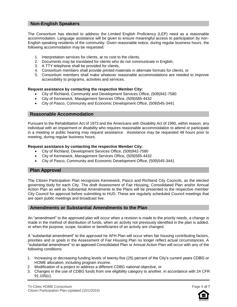# **Non-English Speakers**

The Consortium has elected to address the Limited English Proficiency (LEP) need as a reasonable accommodation. Language assistance will be given to ensure meaningful access to participation by non-English speaking residents of the community. Given reasonable notice, during regular business hours, the following accommodation may be requested:

- 1. Interpretation services for clients, at no cost to the clients,
- 2. Documents may be translated for clients who do not communicate in English,
- 3. A TTY telephone shall be provided for clients,
- 4. Consortium members shall provide printed materials in alternate formats for clients, or
- 5. Consortium members shall make whatever reasonable accommodations are needed to improve accessibility to programs, activities and services.

#### **Request assistance by contacting the respective Member City:**

- City of Richland, Community and Development Services Office, (509)942-7580
- City of Kennewick, Management Services Office, (509)585-4432
- City of Pasco, Community and Economic Development Office, (509)545-3441

#### **Reasonable Accommodation**

Pursuant to the Rehabilitation Act of 1973 and the Americans with Disability Act of 1990, within reason, any individual with an impairment or disability who requires reasonable accommodation to attend or participate in a meeting or public hearing may request assistance. Assistance may be requested 48 hours prior to meeting, during regular business hours.

#### **Request assistance by contacting the respective Member City:**

- City of Richland, Development Services Office, (509)942-7580
- City of Kennewick, Management Services Office, (509)585-4432
- City of Pasco, Community and Economic Development Office, (509)545-3441

#### **Plan Approval**

The Citizen Participation Plan recognizes Kennewick, Pasco and Richland City Councils, as the elected governing body for each City. The draft Assessment of Fair Housing, Consolidated Plan and/or Annual Action Plan as well as Substantial Amendments to the Plans will be presented to the respective member City Council for approval before submitting to HUD. These are regularly scheduled Council meetings that are open public meetings and broadcast live.

#### **Amendments or Substantial Amendments to the Plan**

An "amendment" to the approved plan will occur when a revision is made to the priority needs, a change is made in the method of distribution of funds, when an activity not previously identified in the plan is added, or when the purpose, scope, location or beneficiaries of an activity are changed.

A "substantial amendment" to the approved he AFH Plan will occur when fair housing contributing factors, priorities and or goals in the Assessment of Fair Housing Plan no longer reflect actual circumstances. A "substantial amendment" to an approved Consolidated Plan or Annual Action Plan will occur with any of the following conditions:

- 1. Increasing or decreasing funding levels of twenty-five (25) percent of the City's current years CDBG or HOME allocation, including program income.
- 2. Modification of a project to address a different CDBG national objective, or
- 3. Changes in the use of CDBG funds from one eligibility category to another, in accordance with 24 CFR 91.105(c).



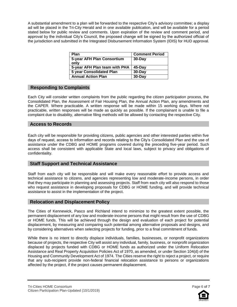A substantial amendment to a plan will be forwarded to the respective City's advisory committee; a display ad will be placed in the Tri-City Herald and in one available publication, and will be available for a period stated below for public review and comments. Upon expiration of the review and comment period, and approval by the individual City's Council, the proposed change will be signed by the authorized official of the jurisdiction and submitted in the Integrated Disbursement Information System (IDIS) for HUD approval.

| Plan                               | <b>Comment Period</b> |
|------------------------------------|-----------------------|
| 5-year AFH Plan Consortium<br>only | $30$ -Day             |
| 5-year AFH Plan team with PHA      | $45$ -Day             |
| <b>5 year Consolidated Plan</b>    | 30-Day                |
| <b>Annual Action Plan</b>          | 30-Day                |

# **Responding to Complaints**

Each City will consider written complaints from the public regarding the citizen participation process, the Consolidated Plan, the Assessment of Fair Housing Plan, the Annual Action Plan, any amendments and the CAPER. Where practicable. A written response will be made within 15 working days. Where not practicable, written responses will be made as quickly as possible. If the complainant is unable to file a complaint due to disability, alternative filing methods will be allowed by contacting the respective City.

# **Access to Records**

Each city will be responsible for providing citizens, public agencies and other interested parties within five days of request, access to information and records relating to the City's Consolidated Plan and the use of assistance under the CDBG and HOME programs covered during the preceding five-year period. Such access shall be consistent with applicable State and local laws, subject to privacy and obligations of confidentiality.

# **Staff Support and Technical Assistance**

Staff from each city will be responsible and will make every reasonable effort to provide access and technical assistance to citizens, and agencies representing low and moderate-income persons, in order that they may participate in planning and assessing projects. Staff from each city will also respond to those who request assistance in developing proposals for CDBG or HOME funding, and will provide technical assistance to assist in the implementation of the project.

# **Relocation and Displacement Policy**

The Cities of Kennewick, Pasco and Richland intend to minimize to the greatest extent possible, the permanent displacement of any low and moderate-income persons that might result from the use of CDBG or HOME funds. This will be achieved through the design and evaluation of each project for potential displacement, by measuring and comparing such potential among alternative proposals and designs, and by considering alternatives when selecting projects for funding, prior to a final commitment of funds.

While there is no intent to directly displace individuals, families, businesses, or nonprofit organizations because of projects, the respective City will assist any individual, family, business, or nonprofit organization displaced by projects funded with CDBG or HOME funds as authorized under the Uniform Relocation Assistance and Real Property Acquisition Policies Act of 1970, as amended, or under Section 104(d) of the Housing and Community Development Act of 1974. The Cities reserve the right to reject a project, or require that any sub-recipient provide non-federal financial relocation assistance to persons or organizations affected by the project, if the project causes permanent displacement.